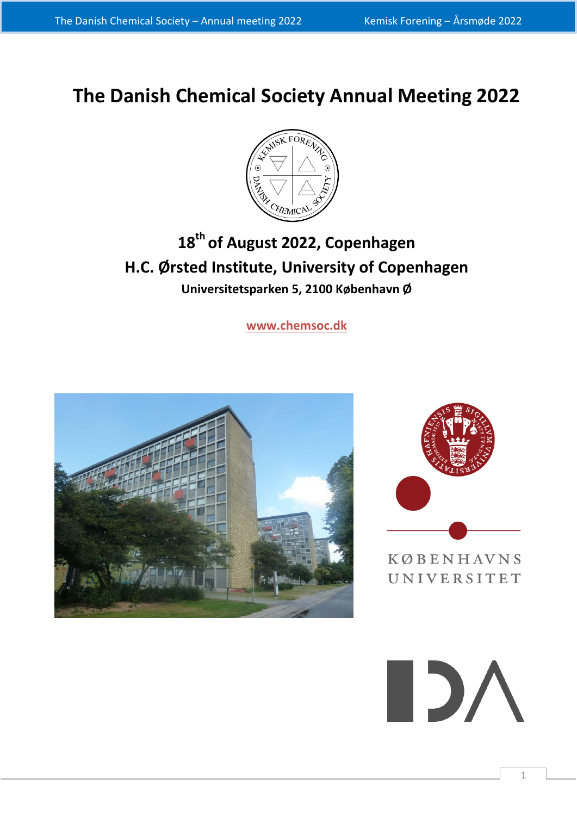# **The Danish Chemical Society Annual Meeting 2022**



## **18th of August 2022, Copenhagen H.C. Ørsted Institute, University of Copenhagen Universitetsparken 5, 2100 København Ø**

**[www.chemsoc.dk](http://www.chemsoc.dk/)**





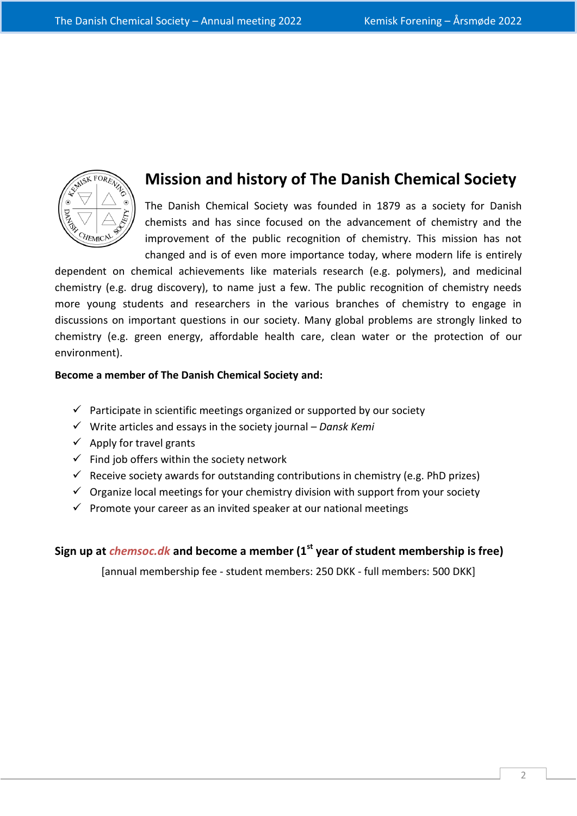

### **Mission and history of The Danish Chemical Society**

The Danish Chemical Society was founded in 1879 as a society for Danish chemists and has since focused on the advancement of chemistry and the improvement of the public recognition of chemistry. This mission has not changed and is of even more importance today, where modern life is entirely

dependent on chemical achievements like materials research (e.g. polymers), and medicinal chemistry (e.g. drug discovery), to name just a few. The public recognition of chemistry needs more young students and researchers in the various branches of chemistry to engage in discussions on important questions in our society. Many global problems are strongly linked to chemistry (e.g. green energy, affordable health care, clean water or the protection of our environment).

#### **Become a member of The Danish Chemical Society and:**

- $\checkmark$  Participate in scientific meetings organized or supported by our society
- Write articles and essays in the society journal *Dansk Kemi*
- $\checkmark$  Apply for travel grants
- $\checkmark$  Find job offers within the society network
- $\checkmark$  Receive society awards for outstanding contributions in chemistry (e.g. PhD prizes)
- $\checkmark$  Organize local meetings for your chemistry division with support from your society
- $\checkmark$  Promote your career as an invited speaker at our national meetings

### **Sign up at** *chemsoc.dk* **and become a member (1st year of student membership is free)**

[annual membership fee - student members: 250 DKK - full members: 500 DKK]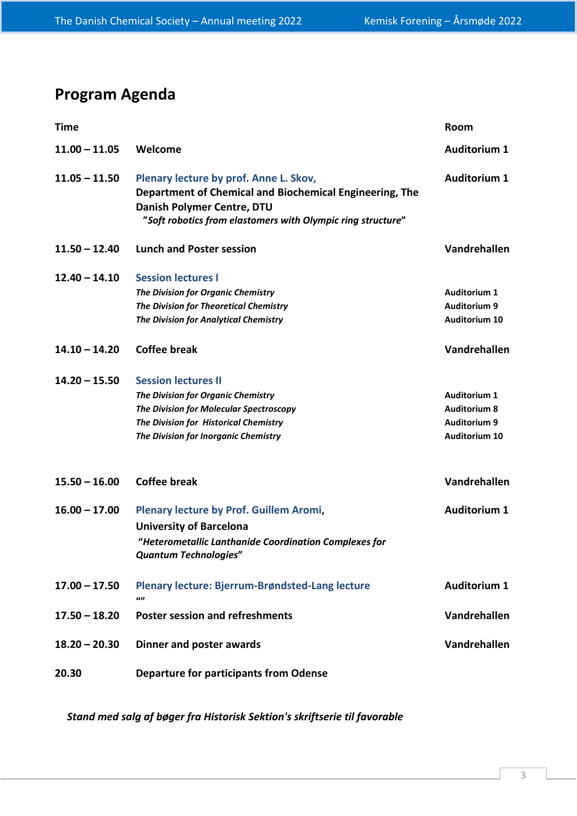## **Program Agenda**

| <b>Time</b>     |                                                                                                                                                                                                | Room                                                                                      |
|-----------------|------------------------------------------------------------------------------------------------------------------------------------------------------------------------------------------------|-------------------------------------------------------------------------------------------|
| $11.00 - 11.05$ | Welcome                                                                                                                                                                                        | <b>Auditorium 1</b>                                                                       |
| $11.05 - 11.50$ | Plenary lecture by prof. Anne L. Skov,<br>Department of Chemical and Biochemical Engineering, The<br>Danish Polymer Centre, DTU<br>"Soft robotics from elastomers with Olympic ring structure" | <b>Auditorium 1</b>                                                                       |
| $11.50 - 12.40$ | <b>Lunch and Poster session</b>                                                                                                                                                                | Vandrehallen                                                                              |
| $12.40 - 14.10$ | <b>Session lectures I</b><br>The Division for Organic Chemistry<br>The Division for Theoretical Chemistry<br>The Division for Analytical Chemistry                                             | <b>Auditorium 1</b><br><b>Auditorium 9</b><br><b>Auditorium 10</b>                        |
| $14.10 - 14.20$ | <b>Coffee break</b>                                                                                                                                                                            | <b>Vandrehallen</b>                                                                       |
| $14.20 - 15.50$ | <b>Session lectures II</b><br>The Division for Organic Chemistry<br>The Division for Molecular Spectroscopy<br>The Division for Historical Chemistry<br>The Division for Inorganic Chemistry   | <b>Auditorium 1</b><br><b>Auditorium 8</b><br><b>Auditorium 9</b><br><b>Auditorium 10</b> |
| $15.50 - 16.00$ | <b>Coffee break</b>                                                                                                                                                                            | Vandrehallen                                                                              |
| $16.00 - 17.00$ | Plenary lecture by Prof. Guillem Aromi,<br><b>University of Barcelona</b><br>"Heterometallic Lanthanide Coordination Complexes for<br><b>Quantum Technologies"</b>                             | <b>Auditorium 1</b>                                                                       |
| $17.00 - 17.50$ | Plenary lecture: Bjerrum-Brøndsted-Lang lecture<br>$\iota$                                                                                                                                     | <b>Auditorium 1</b>                                                                       |
| $17.50 - 18.20$ | <b>Poster session and refreshments</b>                                                                                                                                                         | Vandrehallen                                                                              |
| $18.20 - 20.30$ | Dinner and poster awards                                                                                                                                                                       | Vandrehallen                                                                              |
| 20.30           | <b>Departure for participants from Odense</b>                                                                                                                                                  |                                                                                           |

*Stand med salg af bøger fra Historisk Sektion's skriftserie til favorable*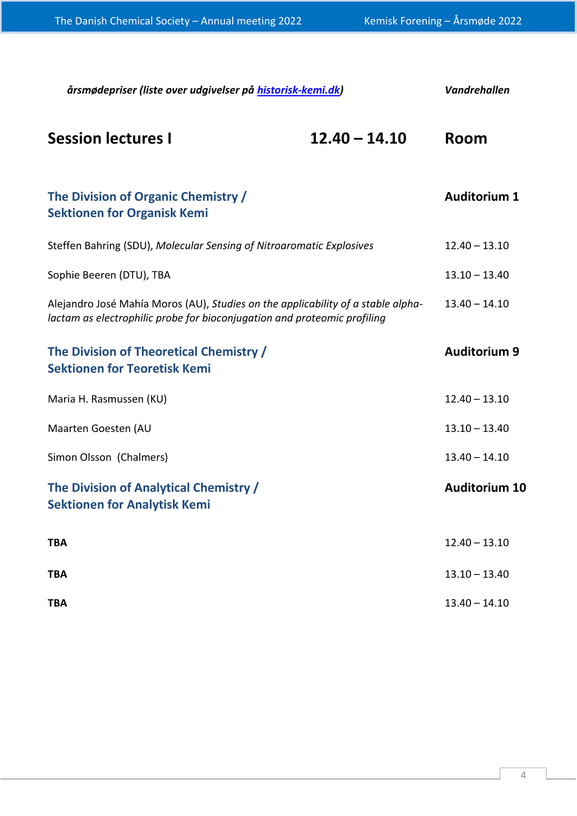| årsmødepriser (liste over udgivelser på historisk-kemi.dk)                                                                                                   | <b>Vandrehallen</b> |                      |
|--------------------------------------------------------------------------------------------------------------------------------------------------------------|---------------------|----------------------|
| <b>Session lectures I</b>                                                                                                                                    | $12.40 - 14.10$     | Room                 |
| The Division of Organic Chemistry /<br><b>Sektionen for Organisk Kemi</b>                                                                                    |                     | <b>Auditorium 1</b>  |
| Steffen Bahring (SDU), Molecular Sensing of Nitroaromatic Explosives                                                                                         |                     | $12.40 - 13.10$      |
| Sophie Beeren (DTU), TBA                                                                                                                                     |                     | $13.10 - 13.40$      |
| Alejandro José Mahía Moros (AU), Studies on the applicability of a stable alpha-<br>lactam as electrophilic probe for bioconjugation and proteomic profiling |                     | $13.40 - 14.10$      |
| The Division of Theoretical Chemistry /<br><b>Sektionen for Teoretisk Kemi</b>                                                                               |                     | <b>Auditorium 9</b>  |
| Maria H. Rasmussen (KU)                                                                                                                                      |                     | $12.40 - 13.10$      |
| Maarten Goesten (AU                                                                                                                                          |                     | $13.10 - 13.40$      |
| Simon Olsson (Chalmers)                                                                                                                                      |                     | $13.40 - 14.10$      |
| The Division of Analytical Chemistry /<br><b>Sektionen for Analytisk Kemi</b>                                                                                |                     | <b>Auditorium 10</b> |
| <b>TBA</b>                                                                                                                                                   |                     | $12.40 - 13.10$      |
| <b>TBA</b>                                                                                                                                                   |                     | $13.10 - 13.40$      |
| <b>TBA</b>                                                                                                                                                   |                     | $13.40 - 14.10$      |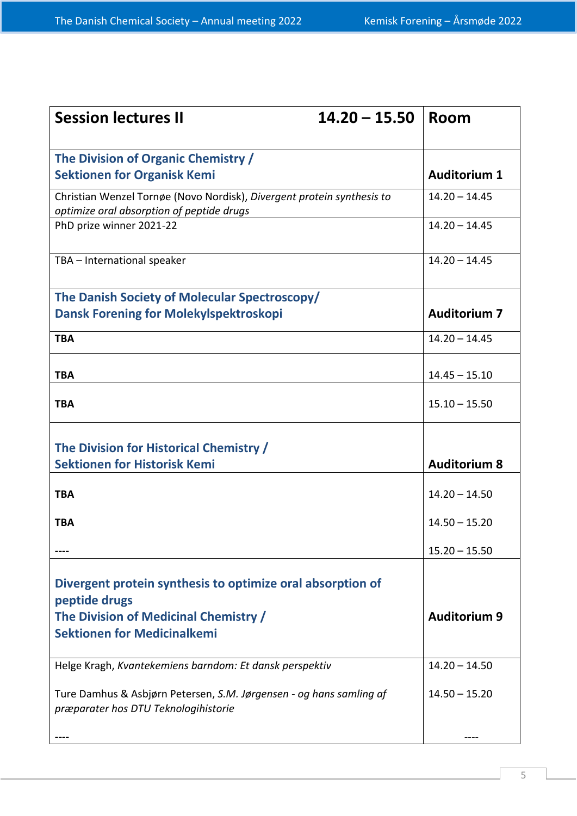| <b>Session lectures II</b>                                                                                          | $14.20 - 15.50$ | Room                |
|---------------------------------------------------------------------------------------------------------------------|-----------------|---------------------|
| The Division of Organic Chemistry /<br><b>Sektionen for Organisk Kemi</b>                                           |                 | <b>Auditorium 1</b> |
| Christian Wenzel Tornøe (Novo Nordisk), Divergent protein synthesis to<br>optimize oral absorption of peptide drugs |                 | $14.20 - 14.45$     |
| PhD prize winner 2021-22                                                                                            |                 | $14.20 - 14.45$     |
| TBA - International speaker                                                                                         |                 | $14.20 - 14.45$     |
| The Danish Society of Molecular Spectroscopy/                                                                       |                 |                     |
| <b>Dansk Forening for Molekylspektroskopi</b>                                                                       |                 | <b>Auditorium 7</b> |
| <b>TBA</b>                                                                                                          |                 | $14.20 - 14.45$     |
| <b>TBA</b>                                                                                                          |                 | $14.45 - 15.10$     |
| <b>TBA</b>                                                                                                          |                 | $15.10 - 15.50$     |
| The Division for Historical Chemistry /                                                                             |                 |                     |
| <b>Sektionen for Historisk Kemi</b>                                                                                 |                 | <b>Auditorium 8</b> |
| <b>TBA</b>                                                                                                          |                 | $14.20 - 14.50$     |
| <b>TBA</b>                                                                                                          |                 | $14.50 - 15.20$     |
|                                                                                                                     |                 | $15.20 - 15.50$     |
| Divergent protein synthesis to optimize oral absorption of<br>peptide drugs                                         |                 |                     |
| The Division of Medicinal Chemistry /<br><b>Sektionen for Medicinalkemi</b>                                         |                 | <b>Auditorium 9</b> |
| Helge Kragh, Kvantekemiens barndom: Et dansk perspektiv                                                             |                 | $14.20 - 14.50$     |
| Ture Damhus & Asbjørn Petersen, S.M. Jørgensen - og hans samling af<br>præparater hos DTU Teknologihistorie         |                 | $14.50 - 15.20$     |
|                                                                                                                     |                 |                     |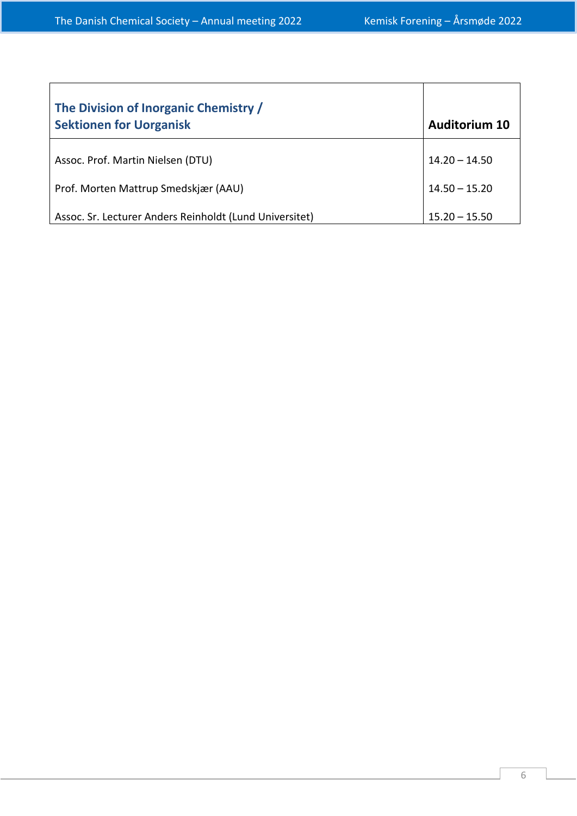| The Division of Inorganic Chemistry /<br><b>Sektionen for Uorganisk</b> | <b>Auditorium 10</b> |
|-------------------------------------------------------------------------|----------------------|
| Assoc. Prof. Martin Nielsen (DTU)                                       | $14.20 - 14.50$      |
| Prof. Morten Mattrup Smedskjær (AAU)                                    | $14.50 - 15.20$      |
| Assoc. Sr. Lecturer Anders Reinholdt (Lund Universitet)                 | $15.20 - 15.50$      |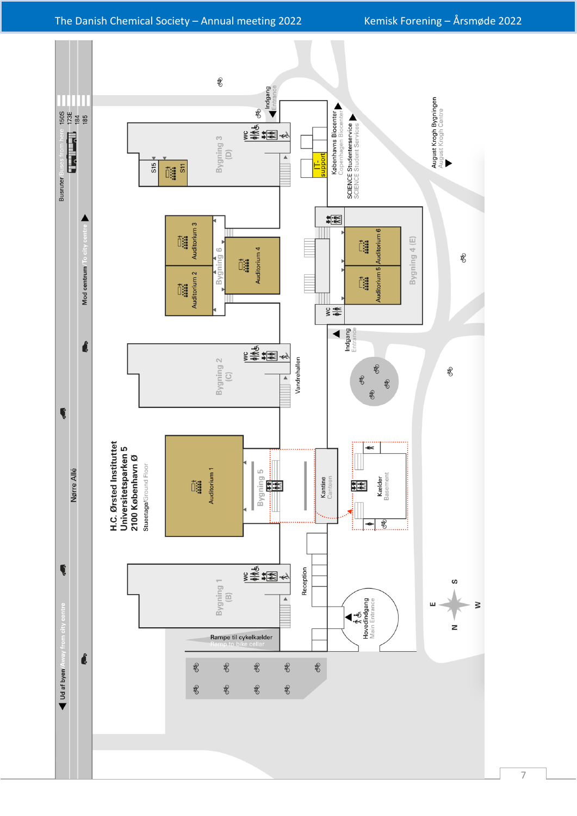